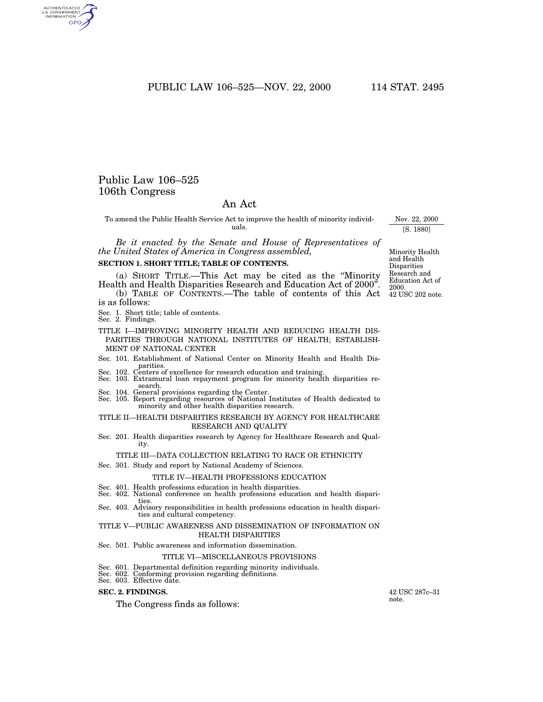PUBLIC LAW 106–525—NOV. 22, 2000 114 STAT. 2495

## Public Law 106–525 106th Congress

## An Act

To amend the Public Health Service Act to improve the health of minority individuals.

*Be it enacted by the Senate and House of Representatives of the United States of America in Congress assembled,*

### **SECTION 1. SHORT TITLE; TABLE OF CONTENTS.**

(a) SHORT TITLE.—This Act may be cited as the ''Minority Health and Health Disparities Research and Education Act of 2000''.

(b) TABLE OF CONTENTS.—The table of contents of this Act is as follows:

- Sec. 1. Short title; table of contents. Sec. 2. Findings.
- 
- TITLE I—IMPROVING MINORITY HEALTH AND REDUCING HEALTH DIS-PARITIES THROUGH NATIONAL INSTITUTES OF HEALTH; ESTABLISH-MENT OF NATIONAL CENTER
- Sec. 101. Establishment of National Center on Minority Health and Health Dis-
- Sec. 102. Centers of excellence for research education and training.
- Sec. 103. Extramural loan repayment program for minority health disparities research.
- Sec. 104. General provisions regarding the Center.
- Sec. 105. Report regarding resources of National Institutes of Health dedicated to minority and other health disparities research.

### TITLE II—HEALTH DISPARITIES RESEARCH BY AGENCY FOR HEALTHCARE RESEARCH AND QUALITY

Sec. 201. Health disparities research by Agency for Healthcare Research and Quality.

### TITLE III—DATA COLLECTION RELATING TO RACE OR ETHNICITY

Sec. 301. Study and report by National Academy of Sciences.

#### TITLE IV—HEALTH PROFESSIONS EDUCATION

- 
- Sec. 401. Health professions education in health disparities. Sec. 402. National conference on health professions education and health disparities.
- Sec. 403. Advisory responsibilities in health professions education in health disparities and cultural competency.

### TITLE V—PUBLIC AWARENESS AND DISSEMINATION OF INFORMATION ON HEALTH DISPARITIES

Sec. 501. Public awareness and information dissemination.

### TITLE VI—MISCELLANEOUS PROVISIONS

- 
- Sec. 601. Departmental definition regarding minority individuals. Sec. 602. Conforming provision regarding definitions. Sec. 603. Effective date.
- 

## **SEC. 2. FINDINGS.**

The Congress finds as follows:

42 USC 287c–31 note.

42 USC 202 note. Minority Health and Health Disparities Research and Education Act of 2000.

Nov. 22, 2000 [S. 1880]

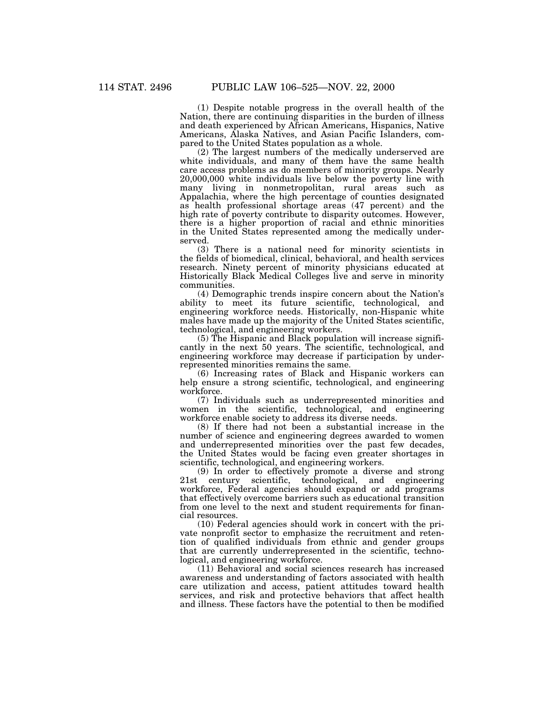(1) Despite notable progress in the overall health of the Nation, there are continuing disparities in the burden of illness and death experienced by African Americans, Hispanics, Native Americans, Alaska Natives, and Asian Pacific Islanders, compared to the United States population as a whole.

(2) The largest numbers of the medically underserved are white individuals, and many of them have the same health care access problems as do members of minority groups. Nearly 20,000,000 white individuals live below the poverty line with many living in nonmetropolitan, rural areas such as Appalachia, where the high percentage of counties designated as health professional shortage areas (47 percent) and the high rate of poverty contribute to disparity outcomes. However, there is a higher proportion of racial and ethnic minorities in the United States represented among the medically underserved.

(3) There is a national need for minority scientists in the fields of biomedical, clinical, behavioral, and health services research. Ninety percent of minority physicians educated at Historically Black Medical Colleges live and serve in minority communities.

(4) Demographic trends inspire concern about the Nation's ability to meet its future scientific, technological, and engineering workforce needs. Historically, non-Hispanic white males have made up the majority of the United States scientific, technological, and engineering workers.

(5) The Hispanic and Black population will increase significantly in the next 50 years. The scientific, technological, and engineering workforce may decrease if participation by underrepresented minorities remains the same.

(6) Increasing rates of Black and Hispanic workers can help ensure a strong scientific, technological, and engineering workforce.

(7) Individuals such as underrepresented minorities and women in the scientific, technological, and engineering workforce enable society to address its diverse needs.

(8) If there had not been a substantial increase in the number of science and engineering degrees awarded to women and underrepresented minorities over the past few decades, the United States would be facing even greater shortages in scientific, technological, and engineering workers.

(9) In order to effectively promote a diverse and strong 21st century scientific, technological, and engineering workforce, Federal agencies should expand or add programs that effectively overcome barriers such as educational transition from one level to the next and student requirements for financial resources.

(10) Federal agencies should work in concert with the private nonprofit sector to emphasize the recruitment and retention of qualified individuals from ethnic and gender groups that are currently underrepresented in the scientific, technological, and engineering workforce.

(11) Behavioral and social sciences research has increased awareness and understanding of factors associated with health care utilization and access, patient attitudes toward health services, and risk and protective behaviors that affect health and illness. These factors have the potential to then be modified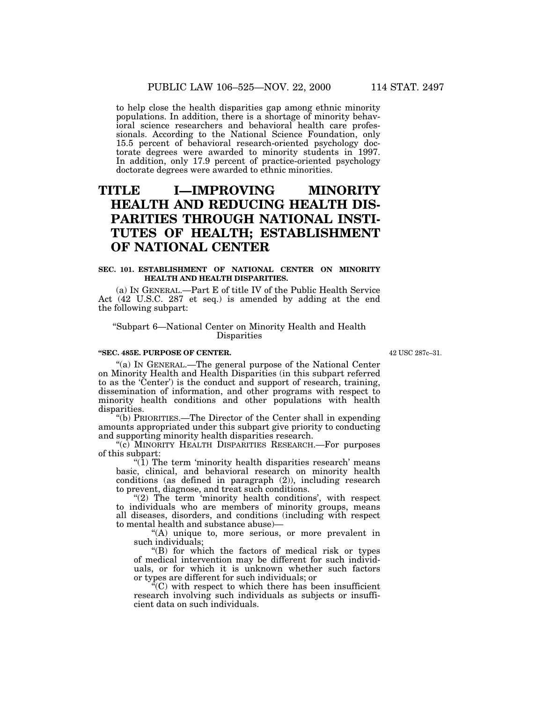to help close the health disparities gap among ethnic minority populations. In addition, there is a shortage of minority behavioral science researchers and behavioral health care professionals. According to the National Science Foundation, only 15.5 percent of behavioral research-oriented psychology doctorate degrees were awarded to minority students in 1997. In addition, only 17.9 percent of practice-oriented psychology doctorate degrees were awarded to ethnic minorities.

# **TITLE I—IMPROVING MINORITY HEALTH AND REDUCING HEALTH DIS-PARITIES THROUGH NATIONAL INSTI-TUTES OF HEALTH; ESTABLISHMENT OF NATIONAL CENTER**

## **SEC. 101. ESTABLISHMENT OF NATIONAL CENTER ON MINORITY HEALTH AND HEALTH DISPARITIES.**

(a) IN GENERAL.—Part E of title IV of the Public Health Service Act (42 U.S.C. 287 et seq.) is amended by adding at the end the following subpart:

## ''Subpart 6—National Center on Minority Health and Health Disparities

#### **''SEC. 485E. PURPOSE OF CENTER.**

42 USC 287c–31.

''(a) IN GENERAL.—The general purpose of the National Center on Minority Health and Health Disparities (in this subpart referred to as the 'Center') is the conduct and support of research, training, dissemination of information, and other programs with respect to minority health conditions and other populations with health

"(b) PRIORITIES.—The Director of the Center shall in expending amounts appropriated under this subpart give priority to conducting and supporting minority health disparities research.

(c) MINORITY HEALTH DISPARITIES RESEARCH.—For purposes of this subpart:

" $(1)$  The term 'minority health disparities research' means basic, clinical, and behavioral research on minority health conditions (as defined in paragraph (2)), including research to prevent, diagnose, and treat such conditions.

"(2) The term 'minority health conditions', with respect to individuals who are members of minority groups, means all diseases, disorders, and conditions (including with respect to mental health and substance abuse)—

''(A) unique to, more serious, or more prevalent in such individuals;

''(B) for which the factors of medical risk or types of medical intervention may be different for such individuals, or for which it is unknown whether such factors or types are different for such individuals; or

 $C^{\infty}(\mathbb{C})$  with respect to which there has been insufficient research involving such individuals as subjects or insufficient data on such individuals.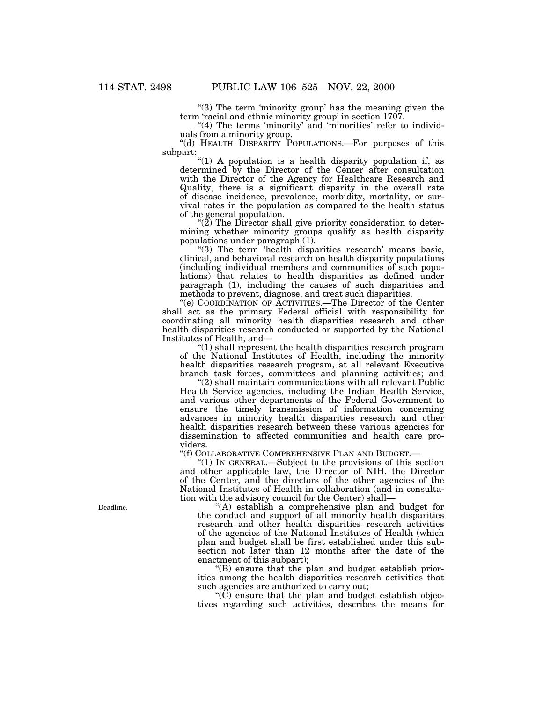"(3) The term 'minority group' has the meaning given the term 'racial and ethnic minority group' in section 1707.

"(4) The terms 'minority' and 'minorities' refer to individuals from a minority group.

''(d) HEALTH DISPARITY POPULATIONS.—For purposes of this

"(1) A population is a health disparity population if, as determined by the Director of the Center after consultation with the Director of the Agency for Healthcare Research and Quality, there is a significant disparity in the overall rate of disease incidence, prevalence, morbidity, mortality, or survival rates in the population as compared to the health status

" $(2)$  The Director shall give priority consideration to determining whether minority groups qualify as health disparity populations under paragraph  $(1)$ .

" $(3)$  The term 'health disparities research' means basic, clinical, and behavioral research on health disparity populations (including individual members and communities of such populations) that relates to health disparities as defined under paragraph (1), including the causes of such disparities and methods to prevent, diagnose, and treat such disparities.

''(e) COORDINATION OF ACTIVITIES.—The Director of the Center shall act as the primary Federal official with responsibility for coordinating all minority health disparities research and other health disparities research conducted or supported by the National Institutes of Health, and—

''(1) shall represent the health disparities research program of the National Institutes of Health, including the minority health disparities research program, at all relevant Executive branch task forces, committees and planning activities; and

"(2) shall maintain communications with all relevant Public Health Service agencies, including the Indian Health Service, and various other departments of the Federal Government to ensure the timely transmission of information concerning advances in minority health disparities research and other health disparities research between these various agencies for dissemination to affected communities and health care providers.

''(f) COLLABORATIVE COMPREHENSIVE PLAN AND BUDGET.—

''(1) IN GENERAL.—Subject to the provisions of this section and other applicable law, the Director of NIH, the Director of the Center, and the directors of the other agencies of the National Institutes of Health in collaboration (and in consultation with the advisory council for the Center) shall—

''(A) establish a comprehensive plan and budget for the conduct and support of all minority health disparities research and other health disparities research activities of the agencies of the National Institutes of Health (which plan and budget shall be first established under this subsection not later than 12 months after the date of the enactment of this subpart);

''(B) ensure that the plan and budget establish priorities among the health disparities research activities that such agencies are authorized to carry out;

" $(\tilde{C})$  ensure that the plan and budget establish objectives regarding such activities, describes the means for

Deadline.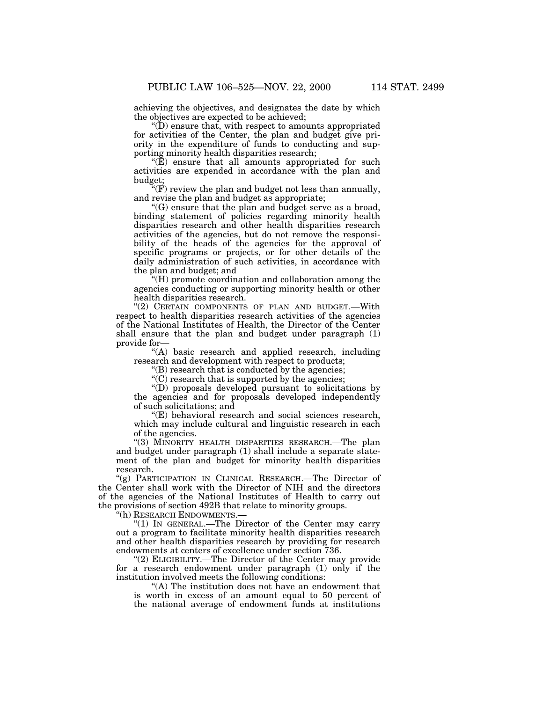achieving the objectives, and designates the date by which the objectives are expected to be achieved;

''(D) ensure that, with respect to amounts appropriated for activities of the Center, the plan and budget give priority in the expenditure of funds to conducting and supporting minority health disparities research;

 $\mathcal{L}(E)$  ensure that all amounts appropriated for such activities are expended in accordance with the plan and budget;

 $\mathcal{C}(F)$  review the plan and budget not less than annually, and revise the plan and budget as appropriate;

''(G) ensure that the plan and budget serve as a broad, binding statement of policies regarding minority health disparities research and other health disparities research activities of the agencies, but do not remove the responsibility of the heads of the agencies for the approval of specific programs or projects, or for other details of the daily administration of such activities, in accordance with the plan and budget; and

''(H) promote coordination and collaboration among the agencies conducting or supporting minority health or other health disparities research.

"(2) CERTAIN COMPONENTS OF PLAN AND BUDGET.-With respect to health disparities research activities of the agencies of the National Institutes of Health, the Director of the Center shall ensure that the plan and budget under paragraph (1) provide for—

''(A) basic research and applied research, including research and development with respect to products;

''(B) research that is conducted by the agencies;

''(C) research that is supported by the agencies;

''(D) proposals developed pursuant to solicitations by the agencies and for proposals developed independently of such solicitations; and

''(E) behavioral research and social sciences research, which may include cultural and linguistic research in each of the agencies.

"(3) MINORITY HEALTH DISPARITIES RESEARCH.—The plan and budget under paragraph (1) shall include a separate statement of the plan and budget for minority health disparities research.

''(g) PARTICIPATION IN CLINICAL RESEARCH.—The Director of the Center shall work with the Director of NIH and the directors of the agencies of the National Institutes of Health to carry out the provisions of section 492B that relate to minority groups.

''(h) RESEARCH ENDOWMENTS.—

 $(1)$  In GENERAL.—The Director of the Center may carry out a program to facilitate minority health disparities research and other health disparities research by providing for research endowments at centers of excellence under section 736.

"(2) ELIGIBILITY.—The Director of the Center may provide for a research endowment under paragraph (1) only if the institution involved meets the following conditions:

''(A) The institution does not have an endowment that is worth in excess of an amount equal to 50 percent of the national average of endowment funds at institutions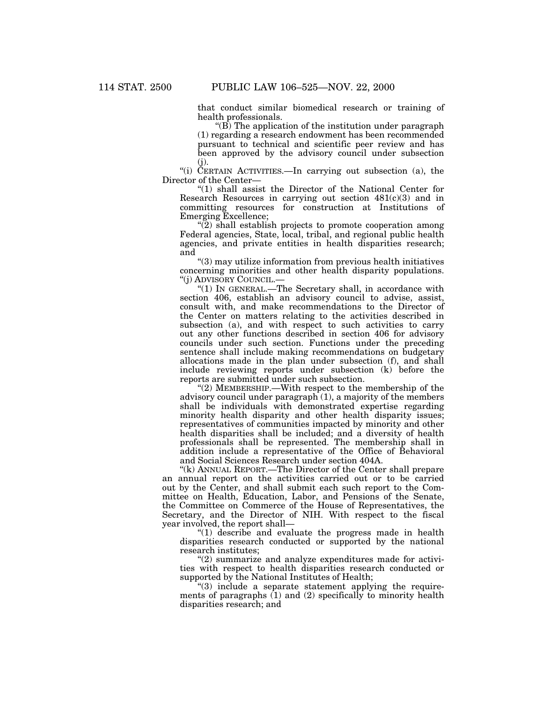that conduct similar biomedical research or training of health professionals.

" $(B)$  The application of the institution under paragraph (1) regarding a research endowment has been recommended pursuant to technical and scientific peer review and has been approved by the advisory council under subsection  $(i).$ 

''(i) CERTAIN ACTIVITIES.—In carrying out subsection (a), the Director of the Center—

''(1) shall assist the Director of the National Center for Research Resources in carrying out section  $481(c)(3)$  and in committing resources for construction at Institutions of Emerging Excellence;

''(2) shall establish projects to promote cooperation among Federal agencies, State, local, tribal, and regional public health agencies, and private entities in health disparities research; and

''(3) may utilize information from previous health initiatives concerning minorities and other health disparity populations. ''(j) ADVISORY COUNCIL.—

''(1) IN GENERAL.—The Secretary shall, in accordance with section 406, establish an advisory council to advise, assist, consult with, and make recommendations to the Director of the Center on matters relating to the activities described in subsection (a), and with respect to such activities to carry out any other functions described in section 406 for advisory councils under such section. Functions under the preceding sentence shall include making recommendations on budgetary allocations made in the plan under subsection (f), and shall include reviewing reports under subsection (k) before the reports are submitted under such subsection.

" $(2)$  MEMBERSHIP.—With respect to the membership of the advisory council under paragraph (1), a majority of the members shall be individuals with demonstrated expertise regarding minority health disparity and other health disparity issues; representatives of communities impacted by minority and other health disparities shall be included; and a diversity of health professionals shall be represented. The membership shall in addition include a representative of the Office of Behavioral and Social Sciences Research under section 404A.

"(k) ANNUAL REPORT.—The Director of the Center shall prepare an annual report on the activities carried out or to be carried out by the Center, and shall submit each such report to the Committee on Health, Education, Labor, and Pensions of the Senate, the Committee on Commerce of the House of Representatives, the Secretary, and the Director of NIH. With respect to the fiscal year involved, the report shall—

''(1) describe and evaluate the progress made in health disparities research conducted or supported by the national research institutes;

 $''(2)$  summarize and analyze expenditures made for activities with respect to health disparities research conducted or supported by the National Institutes of Health;

 $(3)$  include a separate statement applying the requirements of paragraphs  $(1)$  and  $(2)$  specifically to minority health disparities research; and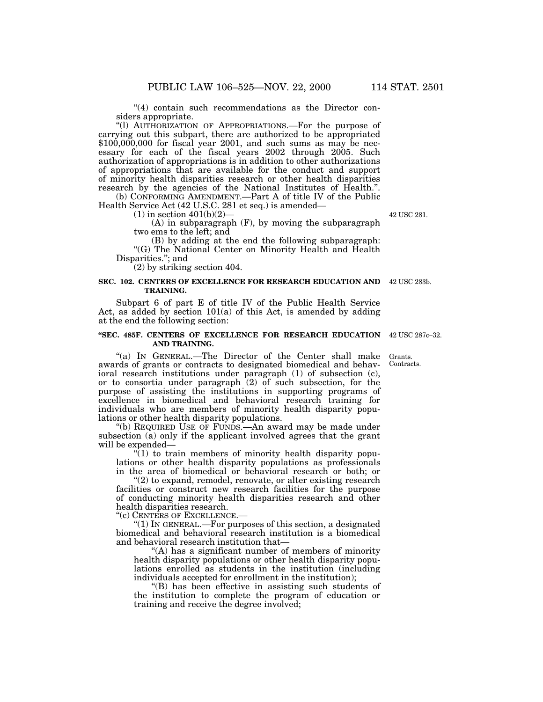"(4) contain such recommendations as the Director considers appropriate.

''(l) AUTHORIZATION OF APPROPRIATIONS.—For the purpose of carrying out this subpart, there are authorized to be appropriated  $$100,000,000$  for fiscal year 2001, and such sums as may be necessary for each of the fiscal years 2002 through 2005. Such authorization of appropriations is in addition to other authorizations of appropriations that are available for the conduct and support of minority health disparities research or other health disparities research by the agencies of the National Institutes of Health.".

(b) CONFORMING AMENDMENT.—Part A of title IV of the Public Health Service Act  $(42 \text{ U.S.C. } 281 \text{ et seq.})$  is amended—

(1) in section 401(b)(2)—<br>(A) in subparagraph (F), by moving the subparagraph two ems to the left; and<br>(B) by adding at the end the following subparagraph:

"(G) The National Center on Minority Health and Health Disparities.''; and

(2) by striking section 404.

#### **SEC. 102. CENTERS OF EXCELLENCE FOR RESEARCH EDUCATION AND** 42 USC 283b. **TRAINING.**

Subpart 6 of part E of title IV of the Public Health Service Act, as added by section 101(a) of this Act, is amended by adding at the end the following section:

#### **''SEC. 485F. CENTERS OF EXCELLENCE FOR RESEARCH EDUCATION** 42 USC 287c–32. **AND TRAINING.**

"(a) IN GENERAL.—The Director of the Center shall make awards of grants or contracts to designated biomedical and behavioral research institutions under paragraph (1) of subsection (c), or to consortia under paragraph (2) of such subsection, for the purpose of assisting the institutions in supporting programs of excellence in biomedical and behavioral research training for individuals who are members of minority health disparity populations or other health disparity populations.

''(b) REQUIRED USE OF FUNDS.—An award may be made under subsection (a) only if the applicant involved agrees that the grant will be expended—

 $\sqrt[n]{(1)}$  to train members of minority health disparity populations or other health disparity populations as professionals in the area of biomedical or behavioral research or both; or

"(2) to expand, remodel, renovate, or alter existing research facilities or construct new research facilities for the purpose of conducting minority health disparities research and other health disparities research.

''(c) CENTERS OF EXCELLENCE.—

''(1) IN GENERAL.—For purposes of this section, a designated biomedical and behavioral research institution is a biomedical and behavioral research institution that—

''(A) has a significant number of members of minority health disparity populations or other health disparity populations enrolled as students in the institution (including individuals accepted for enrollment in the institution);

''(B) has been effective in assisting such students of the institution to complete the program of education or training and receive the degree involved;

Grants. Contracts.

42 USC 281.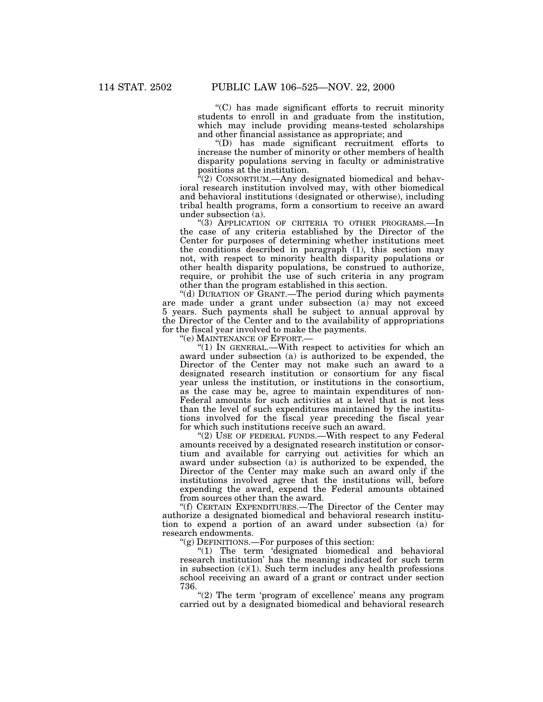''(C) has made significant efforts to recruit minority students to enroll in and graduate from the institution, which may include providing means-tested scholarships and other financial assistance as appropriate; and

''(D) has made significant recruitment efforts to increase the number of minority or other members of health disparity populations serving in faculty or administrative positions at the institution.

 $\sqrt{a}(2)$  CONSORTIUM.—Any designated biomedical and behavioral research institution involved may, with other biomedical and behavioral institutions (designated or otherwise), including tribal health programs, form a consortium to receive an award

"(3) APPLICATION OF CRITERIA TO OTHER PROGRAMS.—In the case of any criteria established by the Director of the Center for purposes of determining whether institutions meet the conditions described in paragraph (1), this section may not, with respect to minority health disparity populations or other health disparity populations, be construed to authorize, require, or prohibit the use of such criteria in any program other than the program established in this section.

''(d) DURATION OF GRANT.—The period during which payments are made under a grant under subsection (a) may not exceed 5 years. Such payments shall be subject to annual approval by the Director of the Center and to the availability of appropriations for the fiscal year involved to make the payments.

''(e) MAINTENANCE OF EFFORT.—

''(1) IN GENERAL.—With respect to activities for which an award under subsection (a) is authorized to be expended, the Director of the Center may not make such an award to a designated research institution or consortium for any fiscal year unless the institution, or institutions in the consortium, as the case may be, agree to maintain expenditures of non-Federal amounts for such activities at a level that is not less than the level of such expenditures maintained by the institutions involved for the fiscal year preceding the fiscal year for which such institutions receive such an award.

"(2) USE OF FEDERAL FUNDS.—With respect to any Federal amounts received by a designated research institution or consortium and available for carrying out activities for which an award under subsection (a) is authorized to be expended, the Director of the Center may make such an award only if the institutions involved agree that the institutions will, before expending the award, expend the Federal amounts obtained from sources other than the award.

''(f) CERTAIN EXPENDITURES.—The Director of the Center may authorize a designated biomedical and behavioral research institution to expend a portion of an award under subsection (a) for research endowments.

 $\mathcal{L}(g)$  DEFINITIONS.—For purposes of this section:

''(1) The term 'designated biomedical and behavioral research institution' has the meaning indicated for such term in subsection  $(c)(1)$ . Such term includes any health professions school receiving an award of a grant or contract under section 736.

"(2) The term 'program of excellence' means any program carried out by a designated biomedical and behavioral research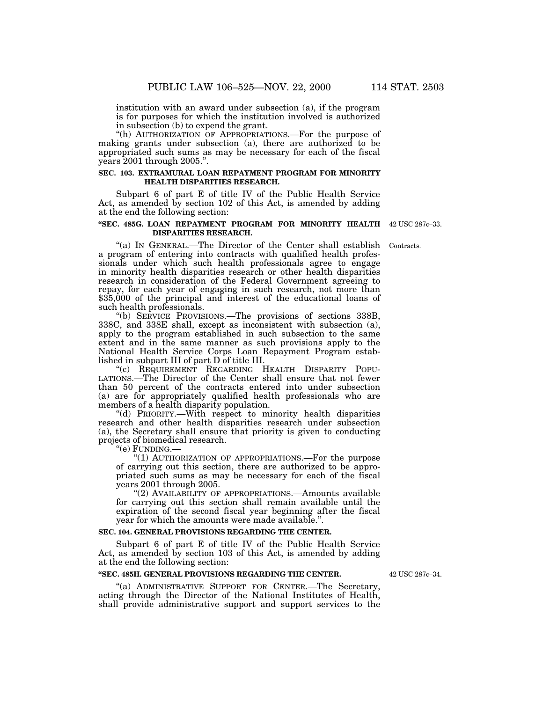institution with an award under subsection (a), if the program is for purposes for which the institution involved is authorized in subsection (b) to expend the grant.

"(h) AUTHORIZATION OF APPROPRIATIONS.—For the purpose of making grants under subsection (a), there are authorized to be appropriated such sums as may be necessary for each of the fiscal years 2001 through 2005.''.

### **SEC. 103. EXTRAMURAL LOAN REPAYMENT PROGRAM FOR MINORITY HEALTH DISPARITIES RESEARCH.**

Subpart 6 of part E of title IV of the Public Health Service Act, as amended by section 102 of this Act, is amended by adding at the end the following section:

#### **''SEC. 485G. LOAN REPAYMENT PROGRAM FOR MINORITY HEALTH** 42 USC 287c–33. **DISPARITIES RESEARCH.**

''(a) IN GENERAL.—The Director of the Center shall establish a program of entering into contracts with qualified health professionals under which such health professionals agree to engage in minority health disparities research or other health disparities research in consideration of the Federal Government agreeing to repay, for each year of engaging in such research, not more than \$35,000 of the principal and interest of the educational loans of Contracts.

such health professionals. "(b) SERVICE PROVISIONS.—The provisions of sections 338B, 338C, and 338E shall, except as inconsistent with subsection (a), apply to the program established in such subsection to the same extent and in the same manner as such provisions apply to the National Health Service Corps Loan Repayment Program established in subpart III of part D of title III.

''(c) REQUIREMENT REGARDING HEALTH DISPARITY POPU-LATIONS.—The Director of the Center shall ensure that not fewer than 50 percent of the contracts entered into under subsection (a) are for appropriately qualified health professionals who are members of a health disparity population.

''(d) PRIORITY.—With respect to minority health disparities research and other health disparities research under subsection (a), the Secretary shall ensure that priority is given to conducting projects of biomedical research.

''(e) FUNDING.—

''(1) AUTHORIZATION OF APPROPRIATIONS.—For the purpose of carrying out this section, there are authorized to be appropriated such sums as may be necessary for each of the fiscal years 2001 through 2005.

"(2) AVAILABILITY OF APPROPRIATIONS.—Amounts available for carrying out this section shall remain available until the expiration of the second fiscal year beginning after the fiscal year for which the amounts were made available.''.

## **SEC. 104. GENERAL PROVISIONS REGARDING THE CENTER.**

Subpart 6 of part E of title IV of the Public Health Service Act, as amended by section 103 of this Act, is amended by adding at the end the following section:

### **''SEC. 485H. GENERAL PROVISIONS REGARDING THE CENTER.**

''(a) ADMINISTRATIVE SUPPORT FOR CENTER.—The Secretary, acting through the Director of the National Institutes of Health, shall provide administrative support and support services to the

42 USC 287c–34.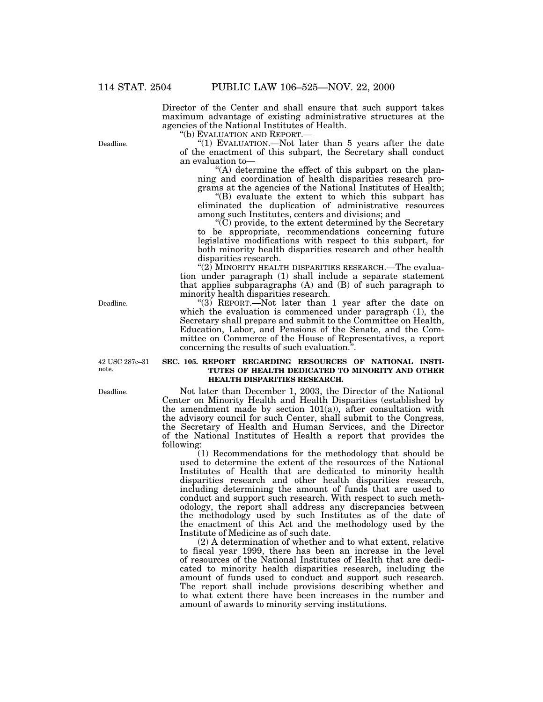Director of the Center and shall ensure that such support takes maximum advantage of existing administrative structures at the agencies of the National Institutes of Health.<br>"(b) EVALUATION AND REPORT.—<br>"(1) EVALUATION.—Not later than 5 years after the date

of the enactment of this subpart, the Secretary shall conduct an evaluation to—<br>"(A) determine the effect of this subpart on the plan-

ning and coordination of health disparities research programs at the agencies of the National Institutes of Health; grams at the agencies of the National Institutes of Health; ''(B) evaluate the extent to which this subpart has

eliminated the duplication of administrative resources among such Institutes, centers and divisions; and "(C) provide, to the extent determined by the Secretary

to be appropriate, recommendations concerning future legislative modifications with respect to this subpart, for both minority health disparities research and other health disparities research.

" $(2)$  MINORITY HEALTH DISPARITIES RESEARCH.—The evaluation under paragraph (1) shall include a separate statement that applies subparagraphs (A) and (B) of such paragraph to minority health disparities research.

"(3) REPORT.—Not later than 1 year after the date on which the evaluation is commenced under paragraph (1), the Secretary shall prepare and submit to the Committee on Health, Education, Labor, and Pensions of the Senate, and the Committee on Commerce of the House of Representatives, a report concerning the results of such evaluation.''.

### **SEC. 105. REPORT REGARDING RESOURCES OF NATIONAL INSTI-TUTES OF HEALTH DEDICATED TO MINORITY AND OTHER HEALTH DISPARITIES RESEARCH.**

Not later than December 1, 2003, the Director of the National Center on Minority Health and Health Disparities (established by the amendment made by section  $101(a)$ ), after consultation with the advisory council for such Center, shall submit to the Congress, the Secretary of Health and Human Services, and the Director of the National Institutes of Health a report that provides the following:

(1) Recommendations for the methodology that should be used to determine the extent of the resources of the National Institutes of Health that are dedicated to minority health disparities research and other health disparities research, including determining the amount of funds that are used to conduct and support such research. With respect to such methodology, the report shall address any discrepancies between the methodology used by such Institutes as of the date of the enactment of this Act and the methodology used by the Institute of Medicine as of such date.

(2) A determination of whether and to what extent, relative to fiscal year 1999, there has been an increase in the level of resources of the National Institutes of Health that are dedicated to minority health disparities research, including the amount of funds used to conduct and support such research. The report shall include provisions describing whether and to what extent there have been increases in the number and amount of awards to minority serving institutions.

Deadline.

Deadline.

42 USC 287c–31 note.

Deadline.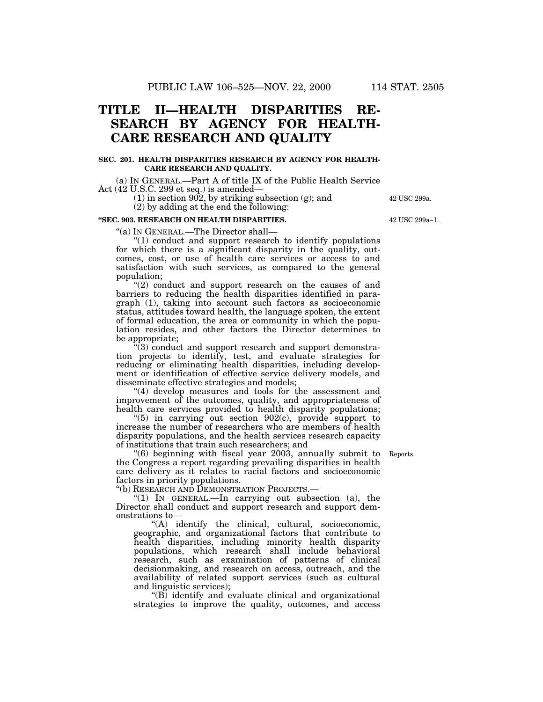## **TITLE II—HEALTH DISPARITIES RE-SEARCH BY AGENCY FOR HEALTH-CARE RESEARCH AND QUALITY**

### **SEC. 201. HEALTH DISPARITIES RESEARCH BY AGENCY FOR HEALTH-CARE RESEARCH AND QUALITY.**

(a) IN GENERAL.—Part A of title IX of the Public Health Service Act (42 U.S.C. 299 et seq.) is amended—

> (1) in section 902, by striking subsection (g); and (2) by adding at the end the following:

### **''SEC. 903. RESEARCH ON HEALTH DISPARITIES.**

''(a) IN GENERAL.—The Director shall—

''(1) conduct and support research to identify populations for which there is a significant disparity in the quality, outcomes, cost, or use of health care services or access to and satisfaction with such services, as compared to the general population;

"(2) conduct and support research on the causes of and barriers to reducing the health disparities identified in paragraph (1), taking into account such factors as socioeconomic status, attitudes toward health, the language spoken, the extent of formal education, the area or community in which the population resides, and other factors the Director determines to be appropriate;

''(3) conduct and support research and support demonstration projects to identify, test, and evaluate strategies for reducing or eliminating health disparities, including development or identification of effective service delivery models, and disseminate effective strategies and models;

"(4) develop measures and tools for the assessment and improvement of the outcomes, quality, and appropriateness of health care services provided to health disparity populations;

" $(5)$  in carrying out section 902 $(c)$ , provide support to increase the number of researchers who are members of health disparity populations, and the health services research capacity of institutions that train such researchers; and

''(6) beginning with fiscal year 2003, annually submit to the Congress a report regarding prevailing disparities in health care delivery as it relates to racial factors and socioeconomic factors in priority populations.

''(b) RESEARCH AND DEMONSTRATION PROJECTS.—

" $(1)$  In GENERAL.—In carrying out subsection  $(a)$ , the Director shall conduct and support research and support demonstrations to—

''(A) identify the clinical, cultural, socioeconomic, geographic, and organizational factors that contribute to health disparities, including minority health disparity populations, which research shall include behavioral research, such as examination of patterns of clinical decisionmaking, and research on access, outreach, and the availability of related support services (such as cultural and linguistic services);

''(B) identify and evaluate clinical and organizational strategies to improve the quality, outcomes, and access

Reports.

42 USC 299a–1.

42 USC 299a.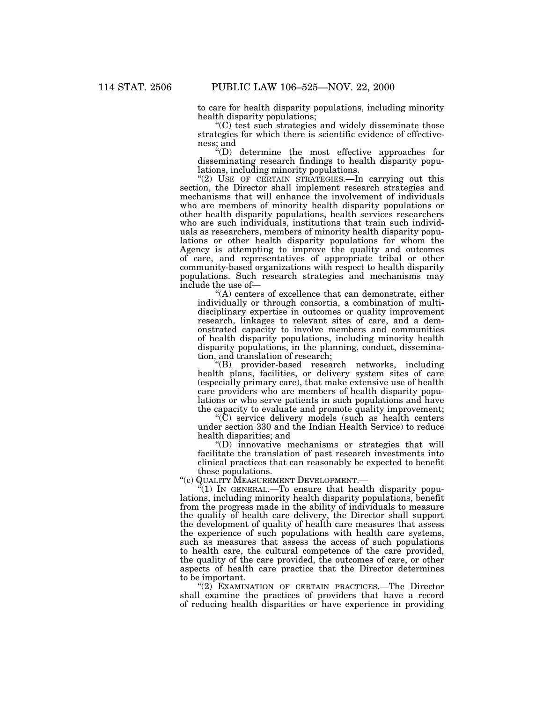to care for health disparity populations, including minority

 $(C)$  test such strategies and widely disseminate those strategies for which there is scientific evidence of effectiveness; and

''(D) determine the most effective approaches for disseminating research findings to health disparity populations, including minority populations.

"(2) USE OF CERTAIN STRATEGIES. In carrying out this section, the Director shall implement research strategies and mechanisms that will enhance the involvement of individuals who are members of minority health disparity populations or other health disparity populations, health services researchers who are such individuals, institutions that train such individuals as researchers, members of minority health disparity populations or other health disparity populations for whom the Agency is attempting to improve the quality and outcomes of care, and representatives of appropriate tribal or other community-based organizations with respect to health disparity populations. Such research strategies and mechanisms may include the use of— $\cdot$ "(A) centers of excellence that can demonstrate, either

individually or through consortia, a combination of multidisciplinary expertise in outcomes or quality improvement research, linkages to relevant sites of care, and a demonstrated capacity to involve members and communities of health disparity populations, including minority health disparity populations, in the planning, conduct, dissemination, and translation of research;

''(B) provider-based research networks, including health plans, facilities, or delivery system sites of care (especially primary care), that make extensive use of health care providers who are members of health disparity populations or who serve patients in such populations and have the capacity to evaluate and promote quality improvement;

''(C) service delivery models (such as health centers under section 330 and the Indian Health Service) to reduce health disparities; and

''(D) innovative mechanisms or strategies that will facilitate the translation of past research investments into clinical practices that can reasonably be expected to benefit these populations.

''(c) QUALITY MEASUREMENT DEVELOPMENT.—

"(1) IN GENERAL.—To ensure that health disparity populations, including minority health disparity populations, benefit from the progress made in the ability of individuals to measure the quality of health care delivery, the Director shall support the development of quality of health care measures that assess the experience of such populations with health care systems, such as measures that assess the access of such populations to health care, the cultural competence of the care provided, the quality of the care provided, the outcomes of care, or other aspects of health care practice that the Director determines to be important.

"(2) EXAMINATION OF CERTAIN PRACTICES.—The Director shall examine the practices of providers that have a record of reducing health disparities or have experience in providing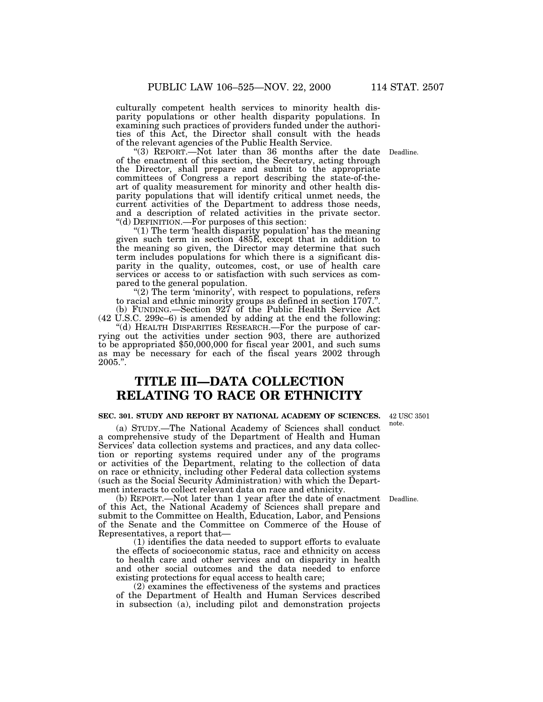culturally competent health services to minority health disparity populations or other health disparity populations. In examining such practices of providers funded under the authorities of this Act, the Director shall consult with the heads of the relevant agencies of the Public Health Service. ''(3) REPORT.—Not later than 36 months after the date Deadline.

of the enactment of this section, the Secretary, acting through the Director, shall prepare and submit to the appropriate committees of Congress a report describing the state-of-theart of quality measurement for minority and other health disparity populations that will identify critical unmet needs, the current activities of the Department to address those needs, and a description of related activities in the private sector.

''(d) DEFINITION.—For purposes of this section: ''(1) The term 'health disparity population' has the meaning given such term in section 485E, except that in addition to the meaning so given, the Director may determine that such term includes populations for which there is a significant disparity in the quality, outcomes, cost, or use of health care services or access to or satisfaction with such services as compared to the general population.

" $(2)$  The term 'minority', with respect to populations, refers to racial and ethnic minority groups as defined in section 1707.''. (b) FUNDING.—Section 927 of the Public Health Service Act

(42 U.S.C. 299 $c=6$ ) is amended by adding at the end the following: "(d) HEALTH DISPARITIES RESEARCH.—For the purpose of car-

rying out the activities under section 903, there are authorized to be appropriated \$50,000,000 for fiscal year 2001, and such sums as may be necessary for each of the fiscal years 2002 through 2005.''.

## **TITLE III—DATA COLLECTION RELATING TO RACE OR ETHNICITY**

#### **SEC. 301. STUDY AND REPORT BY NATIONAL ACADEMY OF SCIENCES.**

(a) STUDY.—The National Academy of Sciences shall conduct a comprehensive study of the Department of Health and Human Services' data collection systems and practices, and any data collection or reporting systems required under any of the programs or activities of the Department, relating to the collection of data on race or ethnicity, including other Federal data collection systems (such as the Social Security Administration) with which the Department interacts to collect relevant data on race and ethnicity.

(b) REPORT.—Not later than 1 year after the date of enactment Deadline. of this Act, the National Academy of Sciences shall prepare and submit to the Committee on Health, Education, Labor, and Pensions of the Senate and the Committee on Commerce of the House of Representatives, a report that— (1) identifies the data needed to support efforts to evaluate

the effects of socioeconomic status, race and ethnicity on access to health care and other services and on disparity in health and other social outcomes and the data needed to enforce existing protections for equal access to health care;

(2) examines the effectiveness of the systems and practices of the Department of Health and Human Services described in subsection (a), including pilot and demonstration projects

42 USC 3501 note.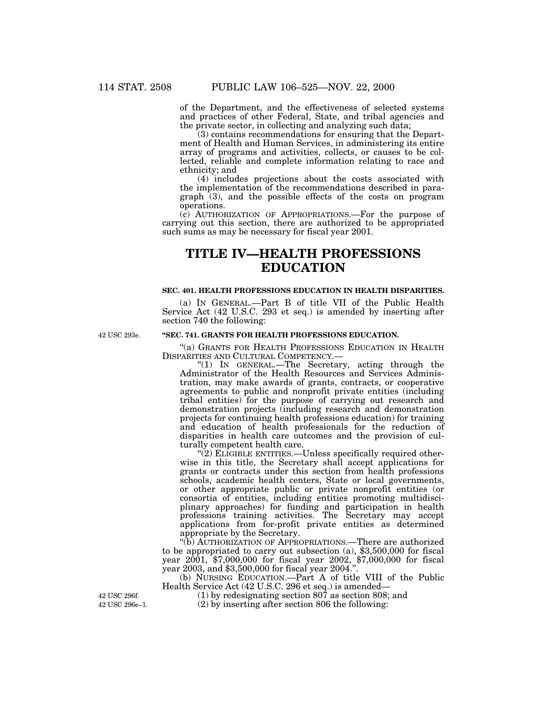of the Department, and the effectiveness of selected systems and practices of other Federal, State, and tribal agencies and the private sector, in collecting and analyzing such data;

(3) contains recommendations for ensuring that the Department of Health and Human Services, in administering its entire array of programs and activities, collects, or causes to be collected, reliable and complete information relating to race and ethnicity; and

(4) includes projections about the costs associated with the implementation of the recommendations described in paragraph (3), and the possible effects of the costs on program operations.

(c) AUTHORIZATION OF APPROPRIATIONS.—For the purpose of carrying out this section, there are authorized to be appropriated such sums as may be necessary for fiscal year 2001.

## **TITLE IV—HEALTH PROFESSIONS EDUCATION**

### **SEC. 401. HEALTH PROFESSIONS EDUCATION IN HEALTH DISPARITIES.**

(a) IN GENERAL.—Part B of title VII of the Public Health Service Act (42 U.S.C. 293 et seq.) is amended by inserting after section 740 the following:

42 USC 293e.

## **''SEC. 741. GRANTS FOR HEALTH PROFESSIONS EDUCATION.**

"(a) GRANTS FOR HEALTH PROFESSIONS EDUCATION IN HEALTH DISPARITIES AND CULTURAL COMPETENCY.—

''(1) IN GENERAL.—The Secretary, acting through the Administrator of the Health Resources and Services Administration, may make awards of grants, contracts, or cooperative agreements to public and nonprofit private entities (including tribal entities) for the purpose of carrying out research and demonstration projects (including research and demonstration projects for continuing health professions education) for training and education of health professionals for the reduction of disparities in health care outcomes and the provision of culturally competent health care.

"(2) ELIGIBLE ENTITIES.—Unless specifically required otherwise in this title, the Secretary shall accept applications for grants or contracts under this section from health professions schools, academic health centers, State or local governments, or other appropriate public or private nonprofit entities (or consortia of entities, including entities promoting multidisciplinary approaches) for funding and participation in health professions training activities. The Secretary may accept applications from for-profit private entities as determined appropriate by the Secretary.

''(b) AUTHORIZATION OF APPROPRIATIONS.—There are authorized to be appropriated to carry out subsection (a), \$3,500,000 for fiscal year 2001, \$7,000,000 for fiscal year 2002, \$7,000,000 for fiscal year 2003, and \$3,500,000 for fiscal year 2004.''.

(b) NURSING EDUCATION.—Part A of title VIII of the Public Health Service Act (42 U.S.C. 296 et seq.) is amended—

(1) by redesignating section 807 as section 808; and

42 USC 296e–1. (2) by inserting after section 806 the following:

42 USC 296f.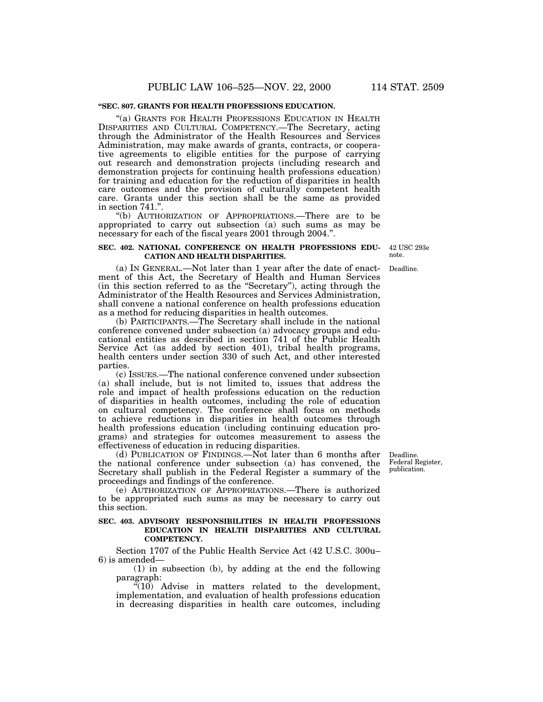### **''SEC. 807. GRANTS FOR HEALTH PROFESSIONS EDUCATION.**

''(a) GRANTS FOR HEALTH PROFESSIONS EDUCATION IN HEALTH DISPARITIES AND CULTURAL COMPETENCY.—The Secretary, acting through the Administrator of the Health Resources and Services Administration, may make awards of grants, contracts, or cooperative agreements to eligible entities for the purpose of carrying out research and demonstration projects (including research and demonstration projects for continuing health professions education) for training and education for the reduction of disparities in health care outcomes and the provision of culturally competent health care. Grants under this section shall be the same as provided in section 741.''.

''(b) AUTHORIZATION OF APPROPRIATIONS.—There are to be appropriated to carry out subsection (a) such sums as may be necessary for each of the fiscal years 2001 through 2004.''.

### **SEC. 402. NATIONAL CONFERENCE ON HEALTH PROFESSIONS EDU-CATION AND HEALTH DISPARITIES.**

note.

(a) IN GENERAL.—Not later than 1 year after the date of enactment of this Act, the Secretary of Health and Human Services (in this section referred to as the ''Secretary''), acting through the Administrator of the Health Resources and Services Administration, shall convene a national conference on health professions education as a method for reducing disparities in health outcomes.

(b) PARTICIPANTS.—The Secretary shall include in the national conference convened under subsection (a) advocacy groups and educational entities as described in section 741 of the Public Health Service Act (as added by section 401), tribal health programs, health centers under section 330 of such Act, and other interested parties.

(c) ISSUES.—The national conference convened under subsection (a) shall include, but is not limited to, issues that address the role and impact of health professions education on the reduction of disparities in health outcomes, including the role of education on cultural competency. The conference shall focus on methods to achieve reductions in disparities in health outcomes through health professions education (including continuing education programs) and strategies for outcomes measurement to assess the effectiveness of education in reducing disparities.

(d) PUBLICATION OF FINDINGS.—Not later than 6 months after the national conference under subsection (a) has convened, the Secretary shall publish in the Federal Register a summary of the proceedings and findings of the conference.

(e) AUTHORIZATION OF APPROPRIATIONS.—There is authorized to be appropriated such sums as may be necessary to carry out this section.

## **SEC. 403. ADVISORY RESPONSIBILITIES IN HEALTH PROFESSIONS EDUCATION IN HEALTH DISPARITIES AND CULTURAL COMPETENCY.**

Section 1707 of the Public Health Service Act (42 U.S.C. 300u– 6) is amended—

(1) in subsection (b), by adding at the end the following paragraph:

 $(10)$  Advise in matters related to the development, implementation, and evaluation of health professions education in decreasing disparities in health care outcomes, including

Deadline. Federal Register, publication.

42 USC 293e

Deadline.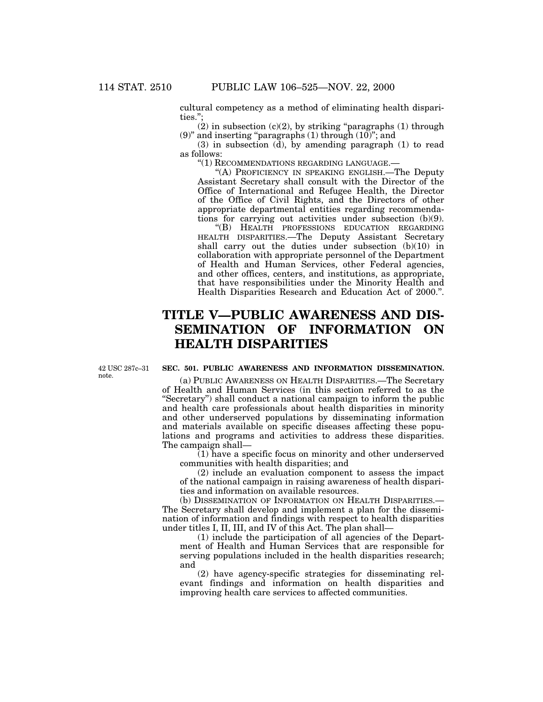cultural competency as a method of eliminating health disparities.'';

 $(2)$  in subsection  $(c)(2)$ , by striking "paragraphs  $(1)$  through (9)" and inserting "paragraphs (1) through  $(10)$ "; and

(3) in subsection (d), by amending paragraph (1) to read as follows:

''(1) RECOMMENDATIONS REGARDING LANGUAGE.—

''(A) PROFICIENCY IN SPEAKING ENGLISH.—The Deputy Assistant Secretary shall consult with the Director of the Office of International and Refugee Health, the Director of the Office of Civil Rights, and the Directors of other appropriate departmental entities regarding recommendations for carrying out activities under subsection (b)(9).

''(B) HEALTH PROFESSIONS EDUCATION REGARDING HEALTH DISPARITIES.—The Deputy Assistant Secretary shall carry out the duties under subsection (b)(10) in collaboration with appropriate personnel of the Department of Health and Human Services, other Federal agencies, and other offices, centers, and institutions, as appropriate, that have responsibilities under the Minority Health and Health Disparities Research and Education Act of 2000.''.

# **TITLE V—PUBLIC AWARENESS AND DIS-SEMINATION OF INFORMATION ON HEALTH DISPARITIES**

42 USC 287c–31 note.

## **SEC. 501. PUBLIC AWARENESS AND INFORMATION DISSEMINATION.**

(a) PUBLIC AWARENESS ON HEALTH DISPARITIES.—The Secretary of Health and Human Services (in this section referred to as the ''Secretary'') shall conduct a national campaign to inform the public and health care professionals about health disparities in minority and other underserved populations by disseminating information and materials available on specific diseases affecting these populations and programs and activities to address these disparities. The campaign shall—

(1) have a specific focus on minority and other underserved communities with health disparities; and

(2) include an evaluation component to assess the impact of the national campaign in raising awareness of health disparities and information on available resources.

(b) DISSEMINATION OF INFORMATION ON HEALTH DISPARITIES.— The Secretary shall develop and implement a plan for the dissemination of information and findings with respect to health disparities under titles I, II, III, and IV of this Act. The plan shall—

(1) include the participation of all agencies of the Department of Health and Human Services that are responsible for serving populations included in the health disparities research; and

(2) have agency-specific strategies for disseminating relevant findings and information on health disparities and improving health care services to affected communities.